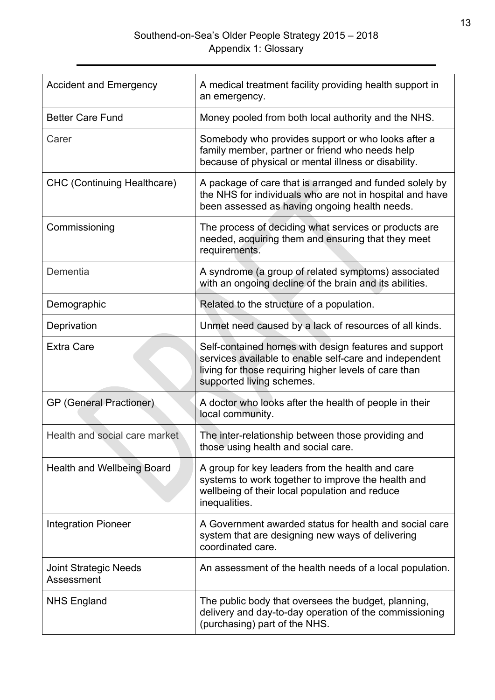| <b>Accident and Emergency</b>              | A medical treatment facility providing health support in<br>an emergency.                                                                                                                             |
|--------------------------------------------|-------------------------------------------------------------------------------------------------------------------------------------------------------------------------------------------------------|
| <b>Better Care Fund</b>                    | Money pooled from both local authority and the NHS.                                                                                                                                                   |
| Carer                                      | Somebody who provides support or who looks after a<br>family member, partner or friend who needs help<br>because of physical or mental illness or disability.                                         |
| <b>CHC (Continuing Healthcare)</b>         | A package of care that is arranged and funded solely by<br>the NHS for individuals who are not in hospital and have<br>been assessed as having ongoing health needs.                                  |
| Commissioning                              | The process of deciding what services or products are<br>needed, acquiring them and ensuring that they meet<br>requirements.                                                                          |
| Dementia                                   | A syndrome (a group of related symptoms) associated<br>with an ongoing decline of the brain and its abilities.                                                                                        |
| Demographic                                | Related to the structure of a population.                                                                                                                                                             |
| Deprivation                                | Unmet need caused by a lack of resources of all kinds.                                                                                                                                                |
| <b>Extra Care</b>                          | Self-contained homes with design features and support<br>services available to enable self-care and independent<br>living for those requiring higher levels of care than<br>supported living schemes. |
| <b>GP</b> (General Practioner)             | A doctor who looks after the health of people in their<br>local community.                                                                                                                            |
| Health and social care market              | The inter-relationship between those providing and<br>those using health and social care.                                                                                                             |
| <b>Health and Wellbeing Board</b>          | A group for key leaders from the health and care<br>systems to work together to improve the health and<br>wellbeing of their local population and reduce<br>inequalities.                             |
| <b>Integration Pioneer</b>                 | A Government awarded status for health and social care<br>system that are designing new ways of delivering<br>coordinated care.                                                                       |
| <b>Joint Strategic Needs</b><br>Assessment | An assessment of the health needs of a local population.                                                                                                                                              |
| <b>NHS England</b>                         | The public body that oversees the budget, planning,<br>delivery and day-to-day operation of the commissioning<br>(purchasing) part of the NHS.                                                        |